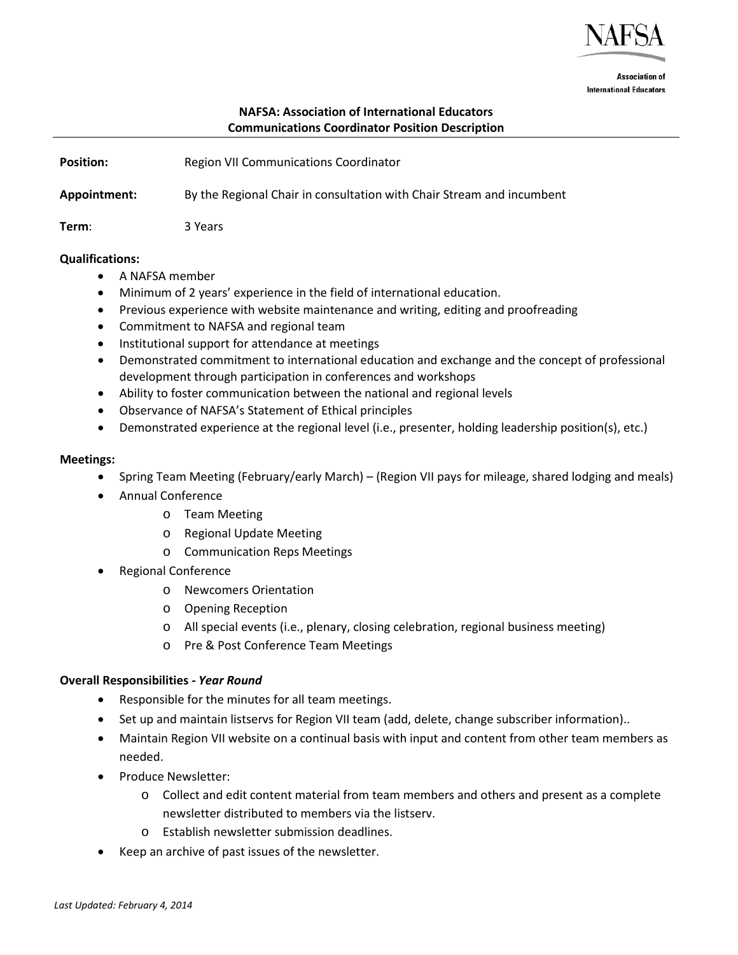

**Association of International Educators** 

## **NAFSA: Association of International Educators Communications Coordinator Position Description**

| <b>Position:</b> | Region VII Communications Coordinator                                 |
|------------------|-----------------------------------------------------------------------|
| Appointment:     | By the Regional Chair in consultation with Chair Stream and incumbent |
| Term:            | 3 Years                                                               |

### **Qualifications:**

- A NAFSA member
- Minimum of 2 years' experience in the field of international education.
- Previous experience with website maintenance and writing, editing and proofreading
- Commitment to NAFSA and regional team
- Institutional support for attendance at meetings
- Demonstrated commitment to international education and exchange and the concept of professional development through participation in conferences and workshops
- Ability to foster communication between the national and regional levels
- Observance of NAFSA's Statement of Ethical principles
- Demonstrated experience at the regional level (i.e., presenter, holding leadership position(s), etc.)

### **Meetings:**

- Spring Team Meeting (February/early March) (Region VII pays for mileage, shared lodging and meals)
- Annual Conference
	- o Team Meeting
	- o Regional Update Meeting
	- o Communication Reps Meetings
- Regional Conference
	- o Newcomers Orientation
	- o Opening Reception
	- o All special events (i.e., plenary, closing celebration, regional business meeting)
	- o Pre & Post Conference Team Meetings

### **Overall Responsibilities** *- Year Round*

- Responsible for the minutes for all team meetings.
- Set up and maintain listservs for Region VII team (add, delete, change subscriber information)..
- Maintain Region VII website on a continual basis with input and content from other team members as needed.
- Produce Newsletter:
	- o Collect and edit content material from team members and others and present as a complete newsletter distributed to members via the listserv.
	- o Establish newsletter submission deadlines.
- Keep an archive of past issues of the newsletter.